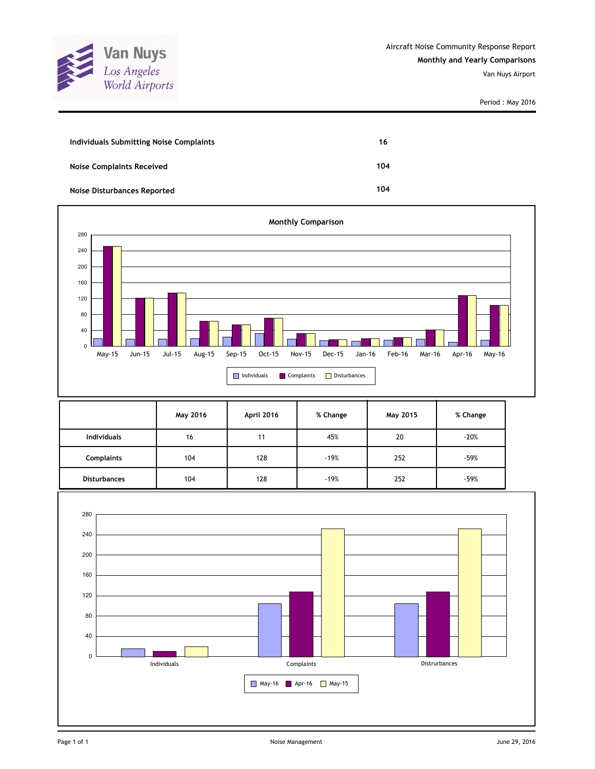

| Individuals Submitting Noise Complaints | 16  |
|-----------------------------------------|-----|
| <b>Noise Complaints Received</b>        | 104 |
| Noise Disturbances Reported             | 104 |



|                     | May 2016 | April 2016 | % Change | May 2015 | % Change |
|---------------------|----------|------------|----------|----------|----------|
| <b>Individuals</b>  | 16       | 11         | 45%      | 20       | $-20%$   |
| Complaints          | 104      | 128        | $-19%$   | 252      | $-59%$   |
| <b>Disturbances</b> | 104      | 128        | $-19%$   | 252      | $-59%$   |

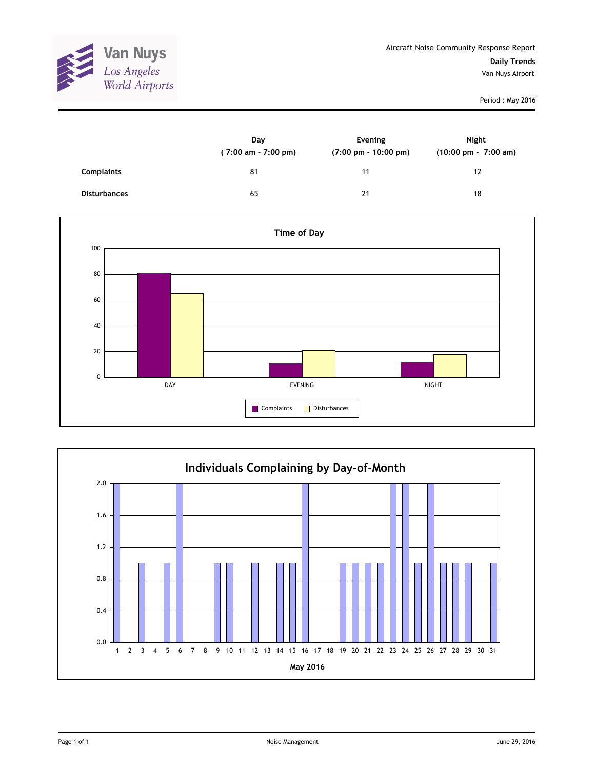

|                     | Day<br>(7:00 am - 7:00 pm) | Evening<br>$(7:00 \text{ pm} - 10:00 \text{ pm})$ | <b>Night</b><br>$(10:00 \text{ pm} - 7:00 \text{ am})$ |
|---------------------|----------------------------|---------------------------------------------------|--------------------------------------------------------|
| <b>Complaints</b>   | 81                         | 11                                                | 12                                                     |
| <b>Disturbances</b> | 65                         | 21                                                | 18                                                     |



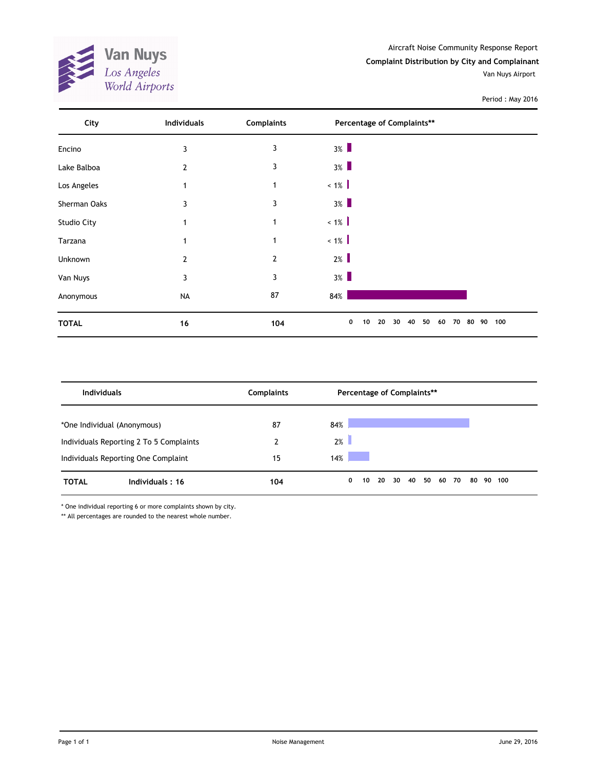

Aircraft Noise Community Response Report **Complaint Distribution by City and Complainant** Van Nuys Airport

Period : May 2016

| City               | Individuals | <b>Complaints</b> | Percentage of Complaints**                               |  |
|--------------------|-------------|-------------------|----------------------------------------------------------|--|
| Encino             | 3           | 3                 | $3\%$                                                    |  |
| Lake Balboa        | 2           | 3                 | $3\%$                                                    |  |
| Los Angeles        | 1           | $\mathbf{1}$      | $~1\%$                                                   |  |
| Sherman Oaks       | 3           | 3                 | $3\%$                                                    |  |
| <b>Studio City</b> | 1           | 1                 | $< 1\%$                                                  |  |
| Tarzana            |             | 1                 | $~1\%$                                                   |  |
| Unknown            | 2           | $\overline{2}$    | $2\%$                                                    |  |
| Van Nuys           | 3           | 3                 | $3\%$                                                    |  |
| Anonymous          | <b>NA</b>   | 87                | 84%                                                      |  |
| <b>TOTAL</b>       | 16          | 104               | 0<br>50<br>80 90 100<br>10<br>20<br>40<br>30<br>60<br>70 |  |

| <b>Individuals</b>          |                                         | <b>Complaints</b> | Percentage of Complaints** |                                 |
|-----------------------------|-----------------------------------------|-------------------|----------------------------|---------------------------------|
| *One Individual (Anonymous) |                                         | 87                | 84%                        |                                 |
|                             | Individuals Reporting 2 To 5 Complaints | 2                 | $2\%$                      |                                 |
|                             | Individuals Reporting One Complaint     | 15                | 14%                        |                                 |
| <b>TOTAL</b>                | Individuals: 16                         | 104               | 30<br>20<br>0<br>10        | -40<br>50 60 70<br>80<br>90 100 |

\* One individual reporting 6 or more complaints shown by city.

\*\* All percentages are rounded to the nearest whole number.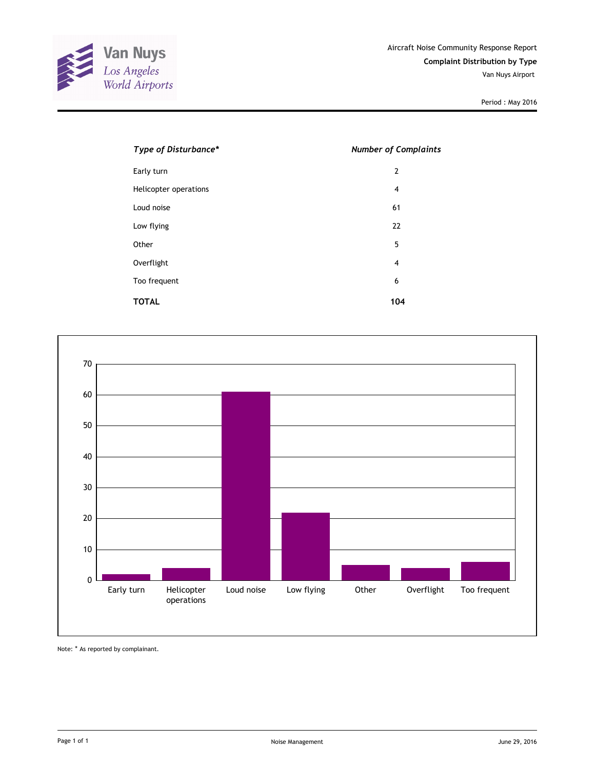

| Type of Disturbance*  | <b>Number of Complaints</b> |  |  |
|-----------------------|-----------------------------|--|--|
| Early turn            | $\overline{2}$              |  |  |
| Helicopter operations | $\overline{4}$              |  |  |
| Loud noise            | 61                          |  |  |
| Low flying            | 22                          |  |  |
| Other                 | 5                           |  |  |
| Overflight            | $\overline{4}$              |  |  |
| Too frequent          | 6                           |  |  |
| <b>TOTAL</b>          | 104                         |  |  |



Note: \* As reported by complainant.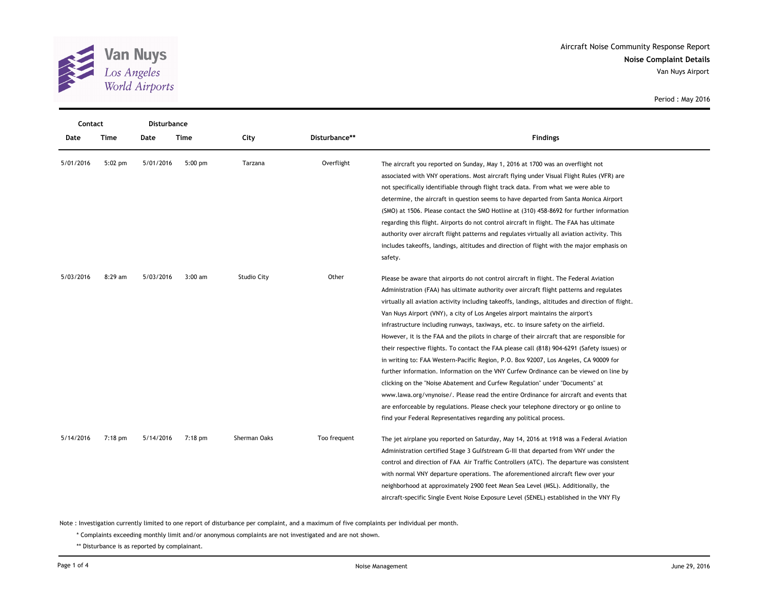

| Contact   |             | <b>Disturbance</b> |             |                    |               |                                                                                                                                                                                                                                                                                                                                                                                                                                                                                                                                                                                                                                                                                                                                                                                                                                                                                                                                                                                                                                                                                                                                                                                  |
|-----------|-------------|--------------------|-------------|--------------------|---------------|----------------------------------------------------------------------------------------------------------------------------------------------------------------------------------------------------------------------------------------------------------------------------------------------------------------------------------------------------------------------------------------------------------------------------------------------------------------------------------------------------------------------------------------------------------------------------------------------------------------------------------------------------------------------------------------------------------------------------------------------------------------------------------------------------------------------------------------------------------------------------------------------------------------------------------------------------------------------------------------------------------------------------------------------------------------------------------------------------------------------------------------------------------------------------------|
| Date      | <b>Time</b> | Date               | <b>Time</b> | City               | Disturbance** | <b>Findings</b>                                                                                                                                                                                                                                                                                                                                                                                                                                                                                                                                                                                                                                                                                                                                                                                                                                                                                                                                                                                                                                                                                                                                                                  |
| 5/01/2016 | $5:02$ pm   | 5/01/2016          | $5:00$ pm   | Tarzana            | Overflight    | The aircraft you reported on Sunday, May 1, 2016 at 1700 was an overflight not<br>associated with VNY operations. Most aircraft flying under Visual Flight Rules (VFR) are<br>not specifically identifiable through flight track data. From what we were able to<br>determine, the aircraft in question seems to have departed from Santa Monica Airport<br>(SMO) at 1506. Please contact the SMO Hotline at (310) 458-8692 for further information<br>regarding this flight. Airports do not control aircraft in flight. The FAA has ultimate<br>authority over aircraft flight patterns and regulates virtually all aviation activity. This<br>includes takeoffs, landings, altitudes and direction of flight with the major emphasis on<br>safety.                                                                                                                                                                                                                                                                                                                                                                                                                            |
| 5/03/2016 | 8:29 am     | 5/03/2016          | $3:00$ am   | <b>Studio City</b> | Other         | Please be aware that airports do not control aircraft in flight. The Federal Aviation<br>Administration (FAA) has ultimate authority over aircraft flight patterns and regulates<br>virtually all aviation activity including takeoffs, landings, altitudes and direction of flight.<br>Van Nuys Airport (VNY), a city of Los Angeles airport maintains the airport's<br>infrastructure including runways, taxiways, etc. to insure safety on the airfield.<br>However, it is the FAA and the pilots in charge of their aircraft that are responsible for<br>their respective flights. To contact the FAA please call (818) 904-6291 (Safety issues) or<br>in writing to: FAA Western-Pacific Region, P.O. Box 92007, Los Angeles, CA 90009 for<br>further information. Information on the VNY Curfew Ordinance can be viewed on line by<br>clicking on the "Noise Abatement and Curfew Regulation" under "Documents" at<br>www.lawa.org/vnynoise/. Please read the entire Ordinance for aircraft and events that<br>are enforceable by regulations. Please check your telephone directory or go online to<br>find your Federal Representatives regarding any political process. |
| 5/14/2016 | $7:18$ pm   | 5/14/2016          | $7:18$ pm   | Sherman Oaks       | Too frequent  | The jet airplane you reported on Saturday, May 14, 2016 at 1918 was a Federal Aviation<br>Administration certified Stage 3 Gulfstream G-III that departed from VNY under the<br>control and direction of FAA Air Traffic Controllers (ATC). The departure was consistent<br>with normal VNY departure operations. The aforementioned aircraft flew over your<br>neighborhood at approximately 2900 feet Mean Sea Level (MSL). Additionally, the<br>aircraft-specific Single Event Noise Exposure Level (SENEL) established in the VNY Fly                                                                                                                                                                                                                                                                                                                                                                                                                                                                                                                                                                                                                                        |

Note : Investigation currently limited to one report of disturbance per complaint, and a maximum of five complaints per individual per month.

\* Complaints exceeding monthly limit and/or anonymous complaints are not investigated and are not shown.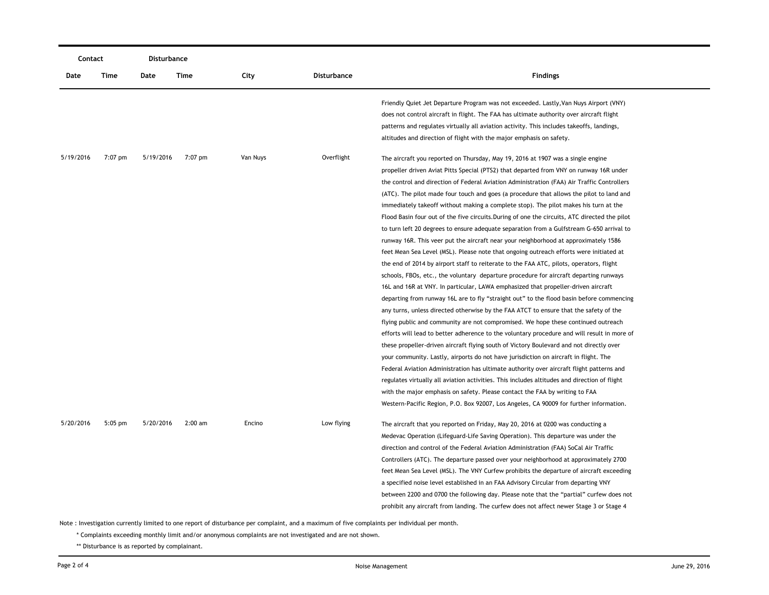|           | Contact   |           | Disturbance |          |                    |                                                                                                                                                                                   |
|-----------|-----------|-----------|-------------|----------|--------------------|-----------------------------------------------------------------------------------------------------------------------------------------------------------------------------------|
| Date      | Time      | Date      | Time        | City     | <b>Disturbance</b> | <b>Findings</b>                                                                                                                                                                   |
|           |           |           |             |          |                    | Friendly Quiet Jet Departure Program was not exceeded. Lastly, Van Nuys Airport (VNY)<br>does not control aircraft in flight. The FAA has ultimate authority over aircraft flight |
|           |           |           |             |          |                    | patterns and regulates virtually all aviation activity. This includes takeoffs, landings,                                                                                         |
|           |           |           |             |          |                    | altitudes and direction of flight with the major emphasis on safety.                                                                                                              |
| 5/19/2016 | 7:07 pm   | 5/19/2016 | 7:07 pm     | Van Nuys | Overflight         | The aircraft you reported on Thursday, May 19, 2016 at 1907 was a single engine                                                                                                   |
|           |           |           |             |          |                    | propeller driven Aviat Pitts Special (PTS2) that departed from VNY on runway 16R under                                                                                            |
|           |           |           |             |          |                    | the control and direction of Federal Aviation Administration (FAA) Air Traffic Controllers                                                                                        |
|           |           |           |             |          |                    | (ATC). The pilot made four touch and goes (a procedure that allows the pilot to land and                                                                                          |
|           |           |           |             |          |                    | immediately takeoff without making a complete stop). The pilot makes his turn at the                                                                                              |
|           |           |           |             |          |                    | Flood Basin four out of the five circuits. During of one the circuits, ATC directed the pilot                                                                                     |
|           |           |           |             |          |                    | to turn left 20 degrees to ensure adequate separation from a Gulfstream G-650 arrival to                                                                                          |
|           |           |           |             |          |                    | runway 16R. This veer put the aircraft near your neighborhood at approximately 1586                                                                                               |
|           |           |           |             |          |                    | feet Mean Sea Level (MSL). Please note that ongoing outreach efforts were initiated at                                                                                            |
|           |           |           |             |          |                    | the end of 2014 by airport staff to reiterate to the FAA ATC, pilots, operators, flight                                                                                           |
|           |           |           |             |          |                    | schools, FBOs, etc., the voluntary departure procedure for aircraft departing runways                                                                                             |
|           |           |           |             |          |                    | 16L and 16R at VNY. In particular, LAWA emphasized that propeller-driven aircraft                                                                                                 |
|           |           |           |             |          |                    | departing from runway 16L are to fly "straight out" to the flood basin before commencing                                                                                          |
|           |           |           |             |          |                    | any turns, unless directed otherwise by the FAA ATCT to ensure that the safety of the                                                                                             |
|           |           |           |             |          |                    | flying public and community are not compromised. We hope these continued outreach                                                                                                 |
|           |           |           |             |          |                    | efforts will lead to better adherence to the voluntary procedure and will result in more of                                                                                       |
|           |           |           |             |          |                    | these propeller-driven aircraft flying south of Victory Boulevard and not directly over                                                                                           |
|           |           |           |             |          |                    | your community. Lastly, airports do not have jurisdiction on aircraft in flight. The                                                                                              |
|           |           |           |             |          |                    | Federal Aviation Administration has ultimate authority over aircraft flight patterns and                                                                                          |
|           |           |           |             |          |                    | regulates virtually all aviation activities. This includes altitudes and direction of flight                                                                                      |
|           |           |           |             |          |                    | with the major emphasis on safety. Please contact the FAA by writing to FAA                                                                                                       |
|           |           |           |             |          |                    | Western-Pacific Region, P.O. Box 92007, Los Angeles, CA 90009 for further information.                                                                                            |
| 5/20/2016 | $5:05$ pm | 5/20/2016 | $2:00$ am   | Encino   | Low flying         | The aircraft that you reported on Friday, May 20, 2016 at 0200 was conducting a                                                                                                   |
|           |           |           |             |          |                    | Medevac Operation (Lifeguard-Life Saving Operation). This departure was under the                                                                                                 |
|           |           |           |             |          |                    | direction and control of the Federal Aviation Administration (FAA) SoCal Air Traffic                                                                                              |
|           |           |           |             |          |                    | Controllers (ATC). The departure passed over your neighborhood at approximately 2700                                                                                              |
|           |           |           |             |          |                    | feet Mean Sea Level (MSL). The VNY Curfew prohibits the departure of aircraft exceeding                                                                                           |
|           |           |           |             |          |                    | a specified noise level established in an FAA Advisory Circular from departing VNY                                                                                                |
|           |           |           |             |          |                    | between 2200 and 0700 the following day. Please note that the "partial" curfew does not                                                                                           |
|           |           |           |             |          |                    | prohibit any aircraft from landing. The curfew does not affect newer Stage 3 or Stage 4                                                                                           |
|           |           |           |             |          |                    |                                                                                                                                                                                   |

Note : Investigation currently limited to one report of disturbance per complaint, and a maximum of five complaints per individual per month.

\* Complaints exceeding monthly limit and/or anonymous complaints are not investigated and are not shown.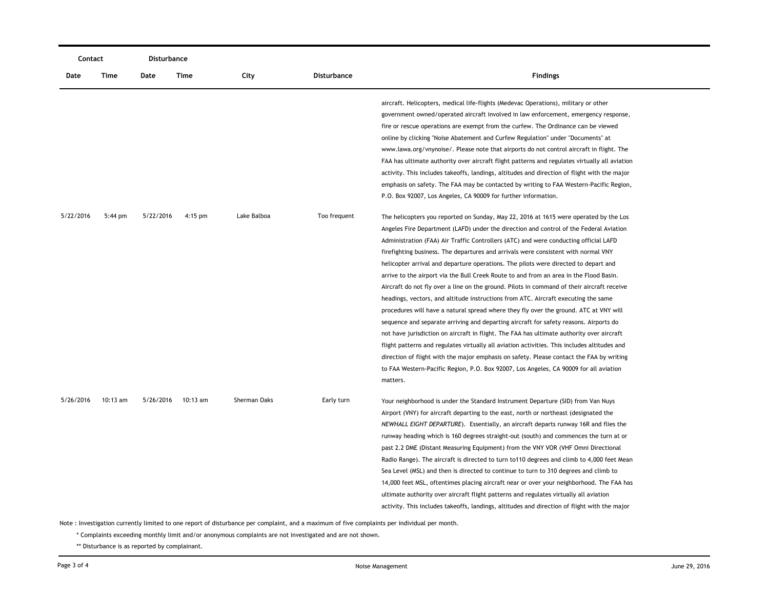| Contact   |           | Disturbance |            |              |              |                                                                                                                                                                                                                                                                                                                                                                                                                                                                                                                                                                                                                                                                                                                                                                                                                                                                                                                                                                                                                                                                                                                                                                                                                                                                                                                    |  |  |
|-----------|-----------|-------------|------------|--------------|--------------|--------------------------------------------------------------------------------------------------------------------------------------------------------------------------------------------------------------------------------------------------------------------------------------------------------------------------------------------------------------------------------------------------------------------------------------------------------------------------------------------------------------------------------------------------------------------------------------------------------------------------------------------------------------------------------------------------------------------------------------------------------------------------------------------------------------------------------------------------------------------------------------------------------------------------------------------------------------------------------------------------------------------------------------------------------------------------------------------------------------------------------------------------------------------------------------------------------------------------------------------------------------------------------------------------------------------|--|--|
| Date      | Time      | Date        | Time       | City         | Disturbance  | <b>Findings</b>                                                                                                                                                                                                                                                                                                                                                                                                                                                                                                                                                                                                                                                                                                                                                                                                                                                                                                                                                                                                                                                                                                                                                                                                                                                                                                    |  |  |
|           |           |             |            |              |              | aircraft. Helicopters, medical life-flights (Medevac Operations), military or other<br>government owned/operated aircraft involved in law enforcement, emergency response,<br>fire or rescue operations are exempt from the curfew. The Ordinance can be viewed<br>online by clicking "Noise Abatement and Curfew Regulation" under "Documents" at<br>www.lawa.org/vnynoise/. Please note that airports do not control aircraft in flight. The<br>FAA has ultimate authority over aircraft flight patterns and regulates virtually all aviation<br>activity. This includes takeoffs, landings, altitudes and direction of flight with the major<br>emphasis on safety. The FAA may be contacted by writing to FAA Western-Pacific Region,<br>P.O. Box 92007, Los Angeles, CA 90009 for further information.                                                                                                                                                                                                                                                                                                                                                                                                                                                                                                        |  |  |
| 5/22/2016 | $5:44$ pm | 5/22/2016   | $4:15$ pm  | Lake Balboa  | Too frequent | The helicopters you reported on Sunday, May 22, 2016 at 1615 were operated by the Los<br>Angeles Fire Department (LAFD) under the direction and control of the Federal Aviation<br>Administration (FAA) Air Traffic Controllers (ATC) and were conducting official LAFD<br>firefighting business. The departures and arrivals were consistent with normal VNY<br>helicopter arrival and departure operations. The pilots were directed to depart and<br>arrive to the airport via the Bull Creek Route to and from an area in the Flood Basin.<br>Aircraft do not fly over a line on the ground. Pilots in command of their aircraft receive<br>headings, vectors, and altitude instructions from ATC. Aircraft executing the same<br>procedures will have a natural spread where they fly over the ground. ATC at VNY will<br>sequence and separate arriving and departing aircraft for safety reasons. Airports do<br>not have jurisdiction on aircraft in flight. The FAA has ultimate authority over aircraft<br>flight patterns and regulates virtually all aviation activities. This includes altitudes and<br>direction of flight with the major emphasis on safety. Please contact the FAA by writing<br>to FAA Western-Pacific Region, P.O. Box 92007, Los Angeles, CA 90009 for all aviation<br>matters. |  |  |
| 5/26/2016 | 10:13 am  | 5/26/2016   | $10:13$ am | Sherman Oaks | Early turn   | Your neighborhood is under the Standard Instrument Departure (SID) from Van Nuys<br>Airport (VNY) for aircraft departing to the east, north or northeast (designated the<br>NEWHALL EIGHT DEPARTURE). Essentially, an aircraft departs runway 16R and flies the<br>runway heading which is 160 degrees straight-out (south) and commences the turn at or<br>past 2.2 DME (Distant Measuring Equipment) from the VNY VOR (VHF Omni Directional<br>Radio Range). The aircraft is directed to turn to 110 degrees and climb to 4,000 feet Mean<br>Sea Level (MSL) and then is directed to continue to turn to 310 degrees and climb to<br>14,000 feet MSL, oftentimes placing aircraft near or over your neighborhood. The FAA has<br>ultimate authority over aircraft flight patterns and regulates virtually all aviation<br>activity. This includes takeoffs, landings, altitudes and direction of flight with the major                                                                                                                                                                                                                                                                                                                                                                                           |  |  |

Note : Investigation currently limited to one report of disturbance per complaint, and a maximum of five complaints per individual per month.

\* Complaints exceeding monthly limit and/or anonymous complaints are not investigated and are not shown.